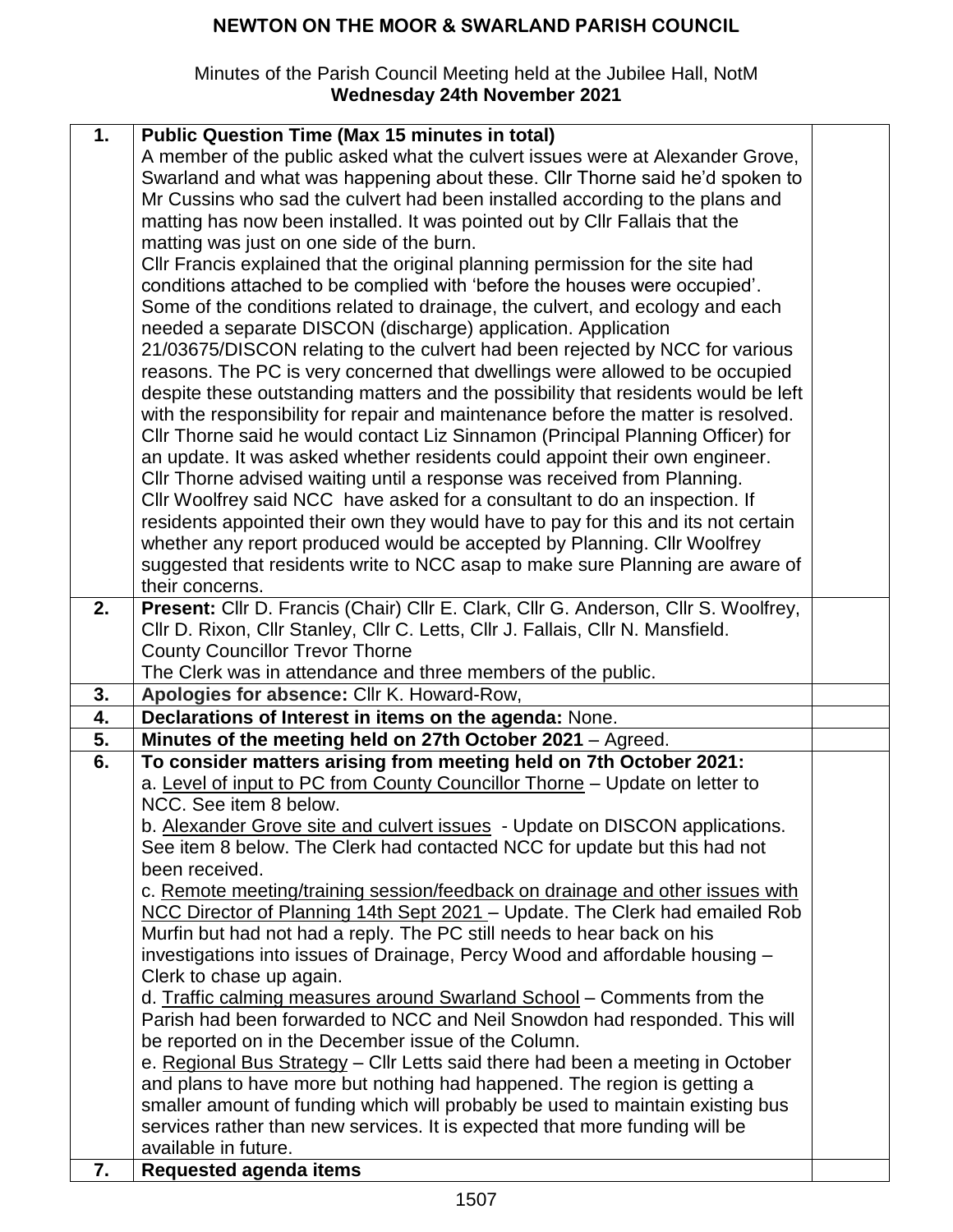#### Minutes of the Parish Council Meeting held at the Jubilee Hall, NotM **Wednesday 24th November 2021**

| 1. | <b>Public Question Time (Max 15 minutes in total)</b>                               |  |
|----|-------------------------------------------------------------------------------------|--|
|    | A member of the public asked what the culvert issues were at Alexander Grove,       |  |
|    | Swarland and what was happening about these. Cllr Thorne said he'd spoken to        |  |
|    | Mr Cussins who sad the culvert had been installed according to the plans and        |  |
|    | matting has now been installed. It was pointed out by CIIr Fallais that the         |  |
|    | matting was just on one side of the burn.                                           |  |
|    | CIIr Francis explained that the original planning permission for the site had       |  |
|    | conditions attached to be complied with 'before the houses were occupied'.          |  |
|    |                                                                                     |  |
|    | Some of the conditions related to drainage, the culvert, and ecology and each       |  |
|    | needed a separate DISCON (discharge) application. Application                       |  |
|    | 21/03675/DISCON relating to the culvert had been rejected by NCC for various        |  |
|    | reasons. The PC is very concerned that dwellings were allowed to be occupied        |  |
|    | despite these outstanding matters and the possibility that residents would be left  |  |
|    | with the responsibility for repair and maintenance before the matter is resolved.   |  |
|    | CIIr Thorne said he would contact Liz Sinnamon (Principal Planning Officer) for     |  |
|    | an update. It was asked whether residents could appoint their own engineer.         |  |
|    | CIIr Thorne advised waiting until a response was received from Planning.            |  |
|    | Cllr Woolfrey said NCC have asked for a consultant to do an inspection. If          |  |
|    | residents appointed their own they would have to pay for this and its not certain   |  |
|    | whether any report produced would be accepted by Planning. Cllr Woolfrey            |  |
|    | suggested that residents write to NCC asap to make sure Planning are aware of       |  |
|    | their concerns.                                                                     |  |
| 2. | Present: Cllr D. Francis (Chair) Cllr E. Clark, Cllr G. Anderson, Cllr S. Woolfrey, |  |
|    |                                                                                     |  |
|    | Cllr D. Rixon, Cllr Stanley, Cllr C. Letts, Cllr J. Fallais, Cllr N. Mansfield.     |  |
|    | <b>County Councillor Trevor Thorne</b>                                              |  |
|    | The Clerk was in attendance and three members of the public.                        |  |
| 3. |                                                                                     |  |
|    | Apologies for absence: Cllr K. Howard-Row,                                          |  |
| 4. | Declarations of Interest in items on the agenda: None.                              |  |
| 5. | Minutes of the meeting held on 27th October 2021 - Agreed.                          |  |
| 6. | To consider matters arising from meeting held on 7th October 2021:                  |  |
|    | a. Level of input to PC from County Councillor Thorne - Update on letter to         |  |
|    | NCC. See item 8 below.                                                              |  |
|    | b. Alexander Grove site and culvert issues - Update on DISCON applications.         |  |
|    | See item 8 below. The Clerk had contacted NCC for update but this had not           |  |
|    | been received.                                                                      |  |
|    | c. Remote meeting/training session/feedback on drainage and other issues with       |  |
|    | NCC Director of Planning 14th Sept 2021 - Update. The Clerk had emailed Rob         |  |
|    |                                                                                     |  |
|    | Murfin but had not had a reply. The PC still needs to hear back on his              |  |
|    | investigations into issues of Drainage, Percy Wood and affordable housing -         |  |
|    | Clerk to chase up again.                                                            |  |
|    | d. Traffic calming measures around Swarland School - Comments from the              |  |
|    | Parish had been forwarded to NCC and Neil Snowdon had responded. This will          |  |
|    | be reported on in the December issue of the Column.                                 |  |
|    | e. Regional Bus Strategy - Cllr Letts said there had been a meeting in October      |  |
|    | and plans to have more but nothing had happened. The region is getting a            |  |
|    | smaller amount of funding which will probably be used to maintain existing bus      |  |
|    | services rather than new services. It is expected that more funding will be         |  |
| 7. | available in future.<br><b>Requested agenda items</b>                               |  |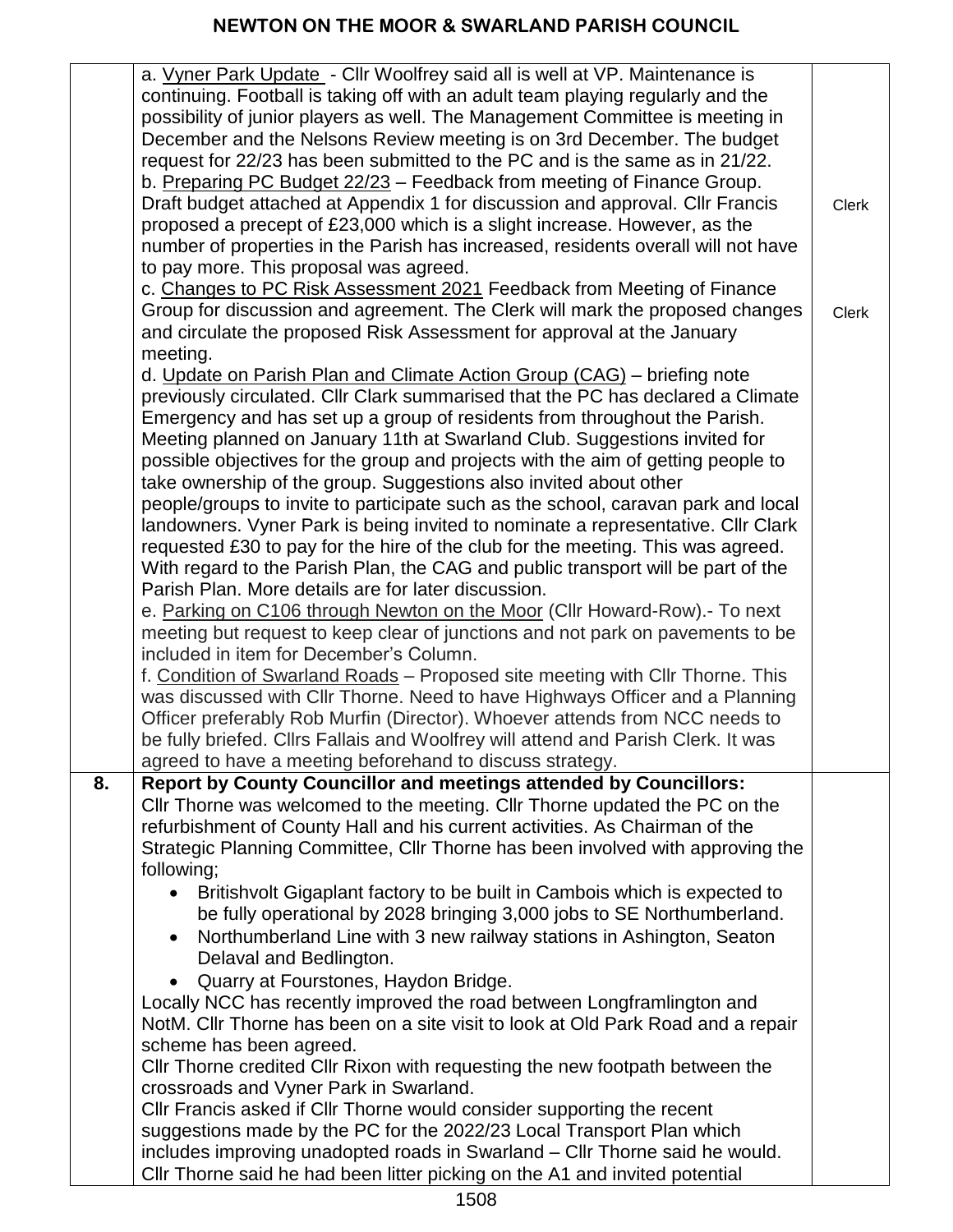|    | a. Vyner Park Update - Cllr Woolfrey said all is well at VP. Maintenance is<br>continuing. Football is taking off with an adult team playing regularly and the<br>possibility of junior players as well. The Management Committee is meeting in<br>December and the Nelsons Review meeting is on 3rd December. The budget<br>request for 22/23 has been submitted to the PC and is the same as in 21/22.<br>b. Preparing PC Budget 22/23 - Feedback from meeting of Finance Group.<br>Draft budget attached at Appendix 1 for discussion and approval. Cllr Francis<br>proposed a precept of £23,000 which is a slight increase. However, as the | <b>Clerk</b> |
|----|--------------------------------------------------------------------------------------------------------------------------------------------------------------------------------------------------------------------------------------------------------------------------------------------------------------------------------------------------------------------------------------------------------------------------------------------------------------------------------------------------------------------------------------------------------------------------------------------------------------------------------------------------|--------------|
|    | number of properties in the Parish has increased, residents overall will not have                                                                                                                                                                                                                                                                                                                                                                                                                                                                                                                                                                |              |
|    | to pay more. This proposal was agreed.                                                                                                                                                                                                                                                                                                                                                                                                                                                                                                                                                                                                           |              |
|    | c. Changes to PC Risk Assessment 2021 Feedback from Meeting of Finance                                                                                                                                                                                                                                                                                                                                                                                                                                                                                                                                                                           |              |
|    | Group for discussion and agreement. The Clerk will mark the proposed changes                                                                                                                                                                                                                                                                                                                                                                                                                                                                                                                                                                     | <b>Clerk</b> |
|    | and circulate the proposed Risk Assessment for approval at the January                                                                                                                                                                                                                                                                                                                                                                                                                                                                                                                                                                           |              |
|    | meeting.                                                                                                                                                                                                                                                                                                                                                                                                                                                                                                                                                                                                                                         |              |
|    | d. Update on Parish Plan and Climate Action Group (CAG) - briefing note<br>previously circulated. Cllr Clark summarised that the PC has declared a Climate<br>Emergency and has set up a group of residents from throughout the Parish.<br>Meeting planned on January 11th at Swarland Club. Suggestions invited for<br>possible objectives for the group and projects with the aim of getting people to<br>take ownership of the group. Suggestions also invited about other                                                                                                                                                                    |              |
|    | people/groups to invite to participate such as the school, caravan park and local                                                                                                                                                                                                                                                                                                                                                                                                                                                                                                                                                                |              |
|    | landowners. Vyner Park is being invited to nominate a representative. Cllr Clark                                                                                                                                                                                                                                                                                                                                                                                                                                                                                                                                                                 |              |
|    | requested £30 to pay for the hire of the club for the meeting. This was agreed.                                                                                                                                                                                                                                                                                                                                                                                                                                                                                                                                                                  |              |
|    | With regard to the Parish Plan, the CAG and public transport will be part of the                                                                                                                                                                                                                                                                                                                                                                                                                                                                                                                                                                 |              |
|    | Parish Plan. More details are for later discussion.                                                                                                                                                                                                                                                                                                                                                                                                                                                                                                                                                                                              |              |
|    | e. Parking on C106 through Newton on the Moor (Cllr Howard-Row).- To next                                                                                                                                                                                                                                                                                                                                                                                                                                                                                                                                                                        |              |
|    | meeting but request to keep clear of junctions and not park on pavements to be                                                                                                                                                                                                                                                                                                                                                                                                                                                                                                                                                                   |              |
|    | included in item for December's Column.                                                                                                                                                                                                                                                                                                                                                                                                                                                                                                                                                                                                          |              |
|    | f. Condition of Swarland Roads - Proposed site meeting with Cllr Thorne. This                                                                                                                                                                                                                                                                                                                                                                                                                                                                                                                                                                    |              |
|    | was discussed with Cllr Thorne. Need to have Highways Officer and a Planning                                                                                                                                                                                                                                                                                                                                                                                                                                                                                                                                                                     |              |
|    | Officer preferably Rob Murfin (Director). Whoever attends from NCC needs to                                                                                                                                                                                                                                                                                                                                                                                                                                                                                                                                                                      |              |
|    | be fully briefed. Cllrs Fallais and Woolfrey will attend and Parish Clerk. It was                                                                                                                                                                                                                                                                                                                                                                                                                                                                                                                                                                |              |
|    | agreed to have a meeting beforehand to discuss strategy.                                                                                                                                                                                                                                                                                                                                                                                                                                                                                                                                                                                         |              |
| 8. | Report by County Councillor and meetings attended by Councillors:                                                                                                                                                                                                                                                                                                                                                                                                                                                                                                                                                                                |              |
|    | CIIr Thorne was welcomed to the meeting. CIIr Thorne updated the PC on the                                                                                                                                                                                                                                                                                                                                                                                                                                                                                                                                                                       |              |
|    | refurbishment of County Hall and his current activities. As Chairman of the                                                                                                                                                                                                                                                                                                                                                                                                                                                                                                                                                                      |              |
|    | Strategic Planning Committee, Cllr Thorne has been involved with approving the                                                                                                                                                                                                                                                                                                                                                                                                                                                                                                                                                                   |              |
|    | following;                                                                                                                                                                                                                                                                                                                                                                                                                                                                                                                                                                                                                                       |              |
|    | Britishvolt Gigaplant factory to be built in Cambois which is expected to                                                                                                                                                                                                                                                                                                                                                                                                                                                                                                                                                                        |              |
|    | be fully operational by 2028 bringing 3,000 jobs to SE Northumberland.                                                                                                                                                                                                                                                                                                                                                                                                                                                                                                                                                                           |              |
|    | Northumberland Line with 3 new railway stations in Ashington, Seaton                                                                                                                                                                                                                                                                                                                                                                                                                                                                                                                                                                             |              |
|    | Delaval and Bedlington.                                                                                                                                                                                                                                                                                                                                                                                                                                                                                                                                                                                                                          |              |
|    | Quarry at Fourstones, Haydon Bridge.                                                                                                                                                                                                                                                                                                                                                                                                                                                                                                                                                                                                             |              |
|    | Locally NCC has recently improved the road between Longframlington and                                                                                                                                                                                                                                                                                                                                                                                                                                                                                                                                                                           |              |
|    | NotM. Cllr Thorne has been on a site visit to look at Old Park Road and a repair                                                                                                                                                                                                                                                                                                                                                                                                                                                                                                                                                                 |              |
|    | scheme has been agreed.                                                                                                                                                                                                                                                                                                                                                                                                                                                                                                                                                                                                                          |              |
|    | CIIr Thorne credited CIIr Rixon with requesting the new footpath between the                                                                                                                                                                                                                                                                                                                                                                                                                                                                                                                                                                     |              |
|    | crossroads and Vyner Park in Swarland.                                                                                                                                                                                                                                                                                                                                                                                                                                                                                                                                                                                                           |              |
|    | CIIr Francis asked if CIIr Thorne would consider supporting the recent                                                                                                                                                                                                                                                                                                                                                                                                                                                                                                                                                                           |              |
|    | suggestions made by the PC for the 2022/23 Local Transport Plan which                                                                                                                                                                                                                                                                                                                                                                                                                                                                                                                                                                            |              |
|    | includes improving unadopted roads in Swarland - Cllr Thorne said he would.                                                                                                                                                                                                                                                                                                                                                                                                                                                                                                                                                                      |              |
|    | CIIr Thorne said he had been litter picking on the A1 and invited potential                                                                                                                                                                                                                                                                                                                                                                                                                                                                                                                                                                      |              |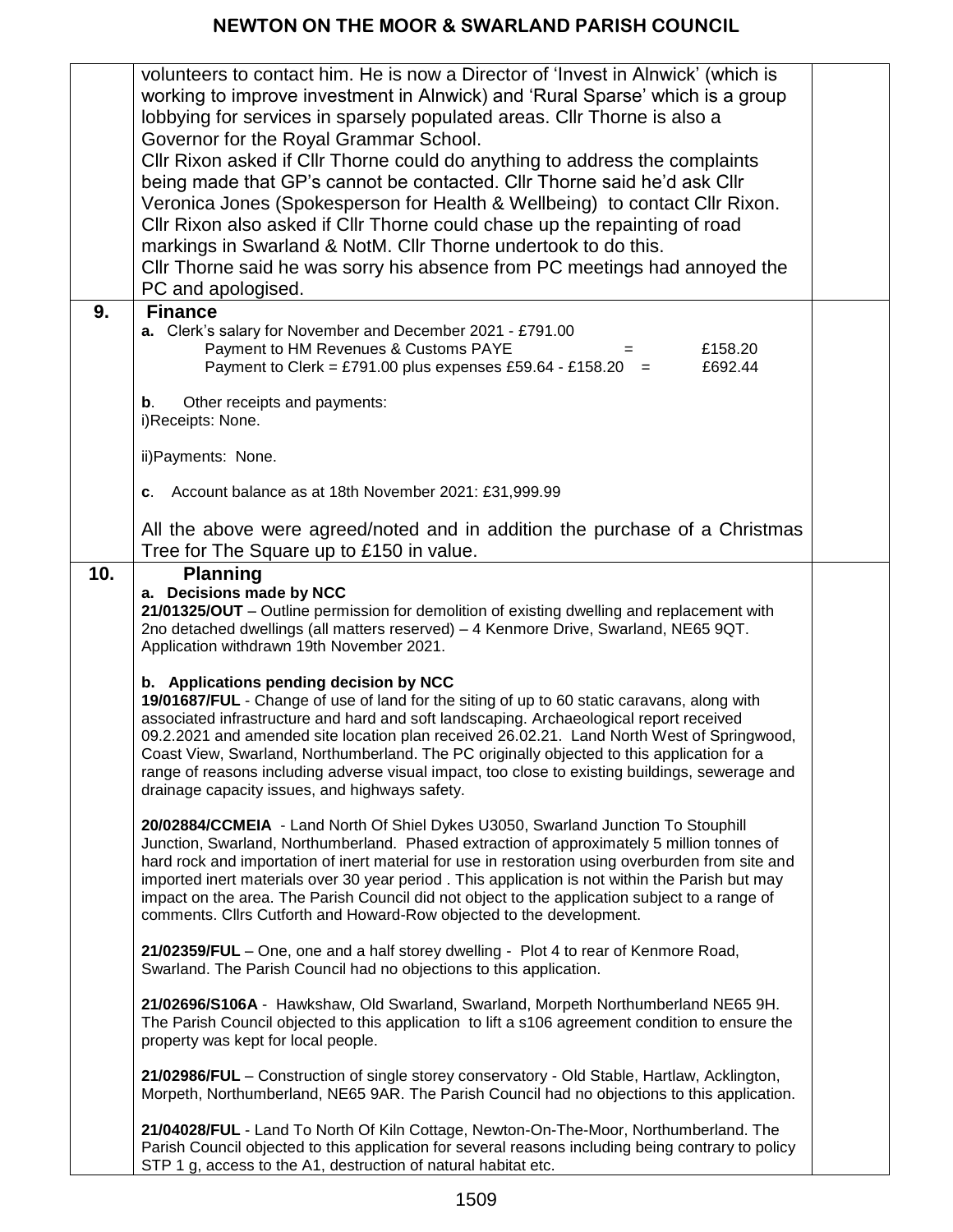|     | volunteers to contact him. He is now a Director of 'Invest in Alnwick' (which is                               |  |
|-----|----------------------------------------------------------------------------------------------------------------|--|
|     | working to improve investment in Alnwick) and 'Rural Sparse' which is a group                                  |  |
|     | lobbying for services in sparsely populated areas. Cllr Thorne is also a                                       |  |
|     | Governor for the Royal Grammar School.                                                                         |  |
|     | CIIr Rixon asked if CIIr Thorne could do anything to address the complaints                                    |  |
|     | being made that GP's cannot be contacted. Cllr Thorne said he'd ask Cllr                                       |  |
|     | Veronica Jones (Spokesperson for Health & Wellbeing) to contact Cllr Rixon.                                    |  |
|     | CIIr Rixon also asked if CIIr Thorne could chase up the repainting of road                                     |  |
|     | markings in Swarland & NotM. Cllr Thorne undertook to do this.                                                 |  |
|     | CIIr Thorne said he was sorry his absence from PC meetings had annoyed the                                     |  |
|     |                                                                                                                |  |
|     | PC and apologised.                                                                                             |  |
| 9.  | <b>Finance</b>                                                                                                 |  |
|     | a. Clerk's salary for November and December 2021 - £791.00<br>Payment to HM Revenues & Customs PAYE<br>£158.20 |  |
|     | Payment to Clerk = £791.00 plus expenses £59.64 - £158.20 =<br>£692.44                                         |  |
|     |                                                                                                                |  |
|     | Other receipts and payments:<br>b.                                                                             |  |
|     | i)Receipts: None.                                                                                              |  |
|     |                                                                                                                |  |
|     | ii) Payments: None.                                                                                            |  |
|     | c. Account balance as at 18th November 2021: £31,999.99                                                        |  |
|     |                                                                                                                |  |
|     | All the above were agreed/noted and in addition the purchase of a Christmas                                    |  |
|     | Tree for The Square up to £150 in value.                                                                       |  |
| 10. | <b>Planning</b>                                                                                                |  |
|     | a. Decisions made by NCC                                                                                       |  |
|     | 21/01325/OUT - Outline permission for demolition of existing dwelling and replacement with                     |  |
|     | 2no detached dwellings (all matters reserved) - 4 Kenmore Drive, Swarland, NE65 9QT.                           |  |
|     | Application withdrawn 19th November 2021.                                                                      |  |
|     | b. Applications pending decision by NCC                                                                        |  |
|     | 19/01687/FUL - Change of use of land for the siting of up to 60 static caravans, along with                    |  |
|     | associated infrastructure and hard and soft landscaping. Archaeological report received                        |  |
|     | 09.2.2021 and amended site location plan received 26.02.21. Land North West of Springwood,                     |  |
|     | Coast View, Swarland, Northumberland. The PC originally objected to this application for a                     |  |
|     | range of reasons including adverse visual impact, too close to existing buildings, sewerage and                |  |
|     | drainage capacity issues, and highways safety.                                                                 |  |
|     | 20/02884/CCMEIA - Land North Of Shiel Dykes U3050, Swarland Junction To Stouphill                              |  |
|     | Junction, Swarland, Northumberland. Phased extraction of approximately 5 million tonnes of                     |  |
|     | hard rock and importation of inert material for use in restoration using overburden from site and              |  |
|     | imported inert materials over 30 year period. This application is not within the Parish but may                |  |
|     | impact on the area. The Parish Council did not object to the application subject to a range of                 |  |
|     | comments. Cllrs Cutforth and Howard-Row objected to the development.                                           |  |
|     | 21/02359/FUL - One, one and a half storey dwelling - Plot 4 to rear of Kenmore Road,                           |  |
|     | Swarland. The Parish Council had no objections to this application.                                            |  |
|     |                                                                                                                |  |
|     | 21/02696/S106A - Hawkshaw, Old Swarland, Swarland, Morpeth Northumberland NE65 9H.                             |  |
|     | The Parish Council objected to this application to lift a s106 agreement condition to ensure the               |  |
|     | property was kept for local people.                                                                            |  |
|     | 21/02986/FUL - Construction of single storey conservatory - Old Stable, Hartlaw, Acklington,                   |  |
|     | Morpeth, Northumberland, NE65 9AR. The Parish Council had no objections to this application.                   |  |
|     |                                                                                                                |  |
|     | 21/04028/FUL - Land To North Of Kiln Cottage, Newton-On-The-Moor, Northumberland. The                          |  |
|     | Parish Council objected to this application for several reasons including being contrary to policy             |  |
|     | STP 1 g, access to the A1, destruction of natural habitat etc.                                                 |  |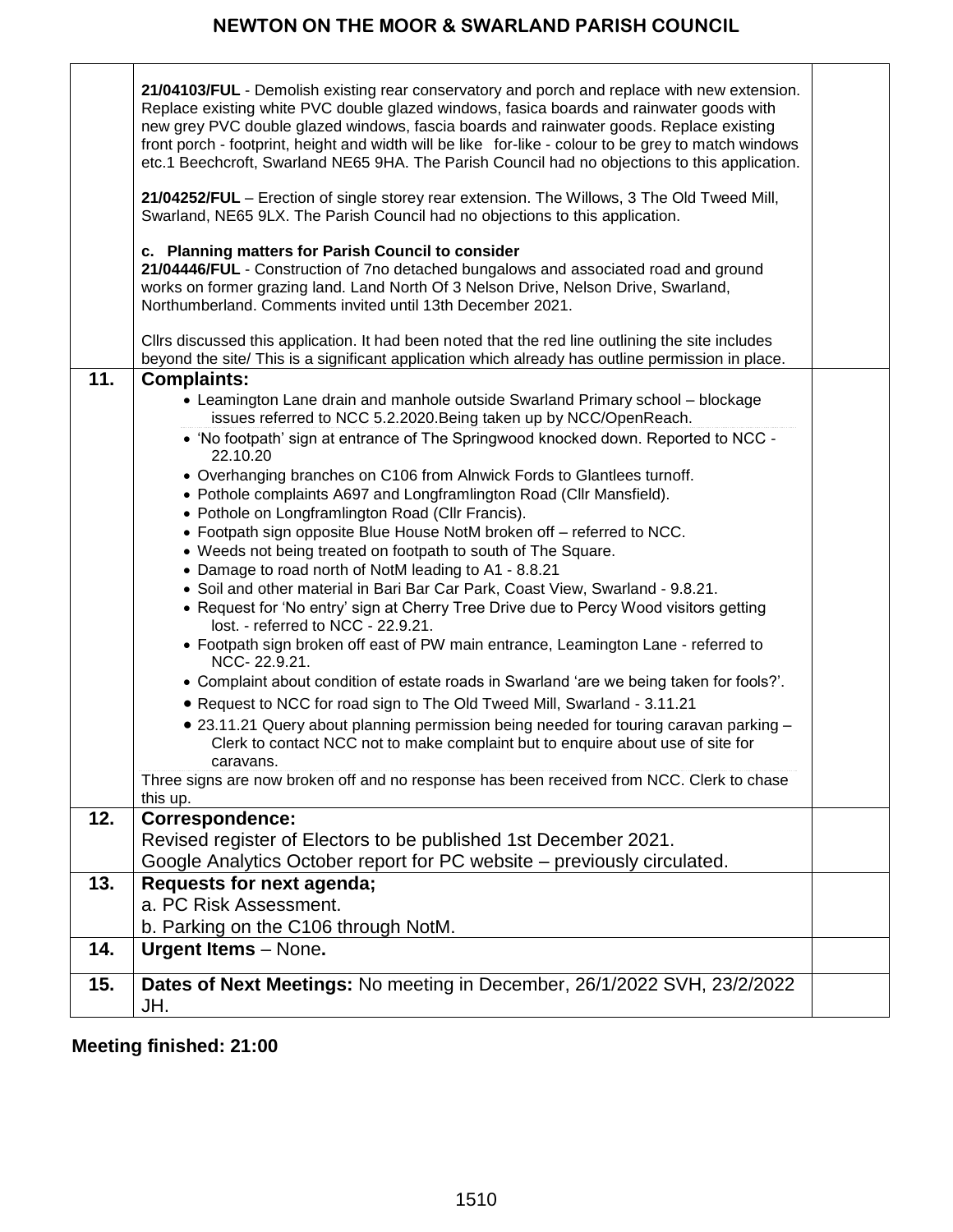| 11. | 21/04103/FUL - Demolish existing rear conservatory and porch and replace with new extension.<br>Replace existing white PVC double glazed windows, fasica boards and rainwater goods with<br>new grey PVC double glazed windows, fascia boards and rainwater goods. Replace existing<br>front porch - footprint, height and width will be like for-like - colour to be grey to match windows<br>etc.1 Beechcroft, Swarland NE65 9HA. The Parish Council had no objections to this application.<br>21/04252/FUL - Erection of single storey rear extension. The Willows, 3 The Old Tweed Mill,<br>Swarland, NE65 9LX. The Parish Council had no objections to this application.<br>c. Planning matters for Parish Council to consider<br>21/04446/FUL - Construction of 7no detached bungalows and associated road and ground<br>works on former grazing land. Land North Of 3 Nelson Drive, Nelson Drive, Swarland,<br>Northumberland. Comments invited until 13th December 2021.<br>Cllrs discussed this application. It had been noted that the red line outlining the site includes<br>beyond the site/ This is a significant application which already has outline permission in place.<br><b>Complaints:</b><br>• Leamington Lane drain and manhole outside Swarland Primary school - blockage |  |
|-----|----------------------------------------------------------------------------------------------------------------------------------------------------------------------------------------------------------------------------------------------------------------------------------------------------------------------------------------------------------------------------------------------------------------------------------------------------------------------------------------------------------------------------------------------------------------------------------------------------------------------------------------------------------------------------------------------------------------------------------------------------------------------------------------------------------------------------------------------------------------------------------------------------------------------------------------------------------------------------------------------------------------------------------------------------------------------------------------------------------------------------------------------------------------------------------------------------------------------------------------------------------------------------------------------------|--|
|     | issues referred to NCC 5.2.2020. Being taken up by NCC/OpenReach.<br>• 'No footpath' sign at entrance of The Springwood knocked down. Reported to NCC -                                                                                                                                                                                                                                                                                                                                                                                                                                                                                                                                                                                                                                                                                                                                                                                                                                                                                                                                                                                                                                                                                                                                            |  |
|     | 22.10.20                                                                                                                                                                                                                                                                                                                                                                                                                                                                                                                                                                                                                                                                                                                                                                                                                                                                                                                                                                                                                                                                                                                                                                                                                                                                                           |  |
|     | • Overhanging branches on C106 from Alnwick Fords to Glantlees turnoff.<br>• Pothole complaints A697 and Longframlington Road (Cllr Mansfield).                                                                                                                                                                                                                                                                                                                                                                                                                                                                                                                                                                                                                                                                                                                                                                                                                                                                                                                                                                                                                                                                                                                                                    |  |
|     | • Pothole on Longframlington Road (Cllr Francis).                                                                                                                                                                                                                                                                                                                                                                                                                                                                                                                                                                                                                                                                                                                                                                                                                                                                                                                                                                                                                                                                                                                                                                                                                                                  |  |
|     | • Footpath sign opposite Blue House NotM broken off - referred to NCC.                                                                                                                                                                                                                                                                                                                                                                                                                                                                                                                                                                                                                                                                                                                                                                                                                                                                                                                                                                                                                                                                                                                                                                                                                             |  |
|     | • Weeds not being treated on footpath to south of The Square.<br>• Damage to road north of NotM leading to A1 - 8.8.21                                                                                                                                                                                                                                                                                                                                                                                                                                                                                                                                                                                                                                                                                                                                                                                                                                                                                                                                                                                                                                                                                                                                                                             |  |
|     | . Soil and other material in Bari Bar Car Park, Coast View, Swarland - 9.8.21.                                                                                                                                                                                                                                                                                                                                                                                                                                                                                                                                                                                                                                                                                                                                                                                                                                                                                                                                                                                                                                                                                                                                                                                                                     |  |
|     | • Request for 'No entry' sign at Cherry Tree Drive due to Percy Wood visitors getting<br>lost. - referred to NCC - 22.9.21.                                                                                                                                                                                                                                                                                                                                                                                                                                                                                                                                                                                                                                                                                                                                                                                                                                                                                                                                                                                                                                                                                                                                                                        |  |
|     | • Footpath sign broken off east of PW main entrance, Leamington Lane - referred to<br>NCC-22.9.21.                                                                                                                                                                                                                                                                                                                                                                                                                                                                                                                                                                                                                                                                                                                                                                                                                                                                                                                                                                                                                                                                                                                                                                                                 |  |
|     | • Complaint about condition of estate roads in Swarland 'are we being taken for fools?'.                                                                                                                                                                                                                                                                                                                                                                                                                                                                                                                                                                                                                                                                                                                                                                                                                                                                                                                                                                                                                                                                                                                                                                                                           |  |
|     | • Request to NCC for road sign to The Old Tweed Mill, Swarland - 3.11.21                                                                                                                                                                                                                                                                                                                                                                                                                                                                                                                                                                                                                                                                                                                                                                                                                                                                                                                                                                                                                                                                                                                                                                                                                           |  |
|     | . 23.11.21 Query about planning permission being needed for touring caravan parking -<br>Clerk to contact NCC not to make complaint but to enquire about use of site for<br>caravans.                                                                                                                                                                                                                                                                                                                                                                                                                                                                                                                                                                                                                                                                                                                                                                                                                                                                                                                                                                                                                                                                                                              |  |
|     | Three signs are now broken off and no response has been received from NCC. Clerk to chase<br>this up.                                                                                                                                                                                                                                                                                                                                                                                                                                                                                                                                                                                                                                                                                                                                                                                                                                                                                                                                                                                                                                                                                                                                                                                              |  |
| 12. | <b>Correspondence:</b>                                                                                                                                                                                                                                                                                                                                                                                                                                                                                                                                                                                                                                                                                                                                                                                                                                                                                                                                                                                                                                                                                                                                                                                                                                                                             |  |
|     | Revised register of Electors to be published 1st December 2021.                                                                                                                                                                                                                                                                                                                                                                                                                                                                                                                                                                                                                                                                                                                                                                                                                                                                                                                                                                                                                                                                                                                                                                                                                                    |  |
|     | Google Analytics October report for PC website – previously circulated.                                                                                                                                                                                                                                                                                                                                                                                                                                                                                                                                                                                                                                                                                                                                                                                                                                                                                                                                                                                                                                                                                                                                                                                                                            |  |
| 13. | Requests for next agenda;                                                                                                                                                                                                                                                                                                                                                                                                                                                                                                                                                                                                                                                                                                                                                                                                                                                                                                                                                                                                                                                                                                                                                                                                                                                                          |  |
|     | a. PC Risk Assessment.                                                                                                                                                                                                                                                                                                                                                                                                                                                                                                                                                                                                                                                                                                                                                                                                                                                                                                                                                                                                                                                                                                                                                                                                                                                                             |  |
|     | b. Parking on the C106 through NotM.                                                                                                                                                                                                                                                                                                                                                                                                                                                                                                                                                                                                                                                                                                                                                                                                                                                                                                                                                                                                                                                                                                                                                                                                                                                               |  |
| 14. | <b>Urgent Items - None.</b>                                                                                                                                                                                                                                                                                                                                                                                                                                                                                                                                                                                                                                                                                                                                                                                                                                                                                                                                                                                                                                                                                                                                                                                                                                                                        |  |
| 15. | Dates of Next Meetings: No meeting in December, 26/1/2022 SVH, 23/2/2022<br>JH.                                                                                                                                                                                                                                                                                                                                                                                                                                                                                                                                                                                                                                                                                                                                                                                                                                                                                                                                                                                                                                                                                                                                                                                                                    |  |

 **Meeting finished: 21:00**